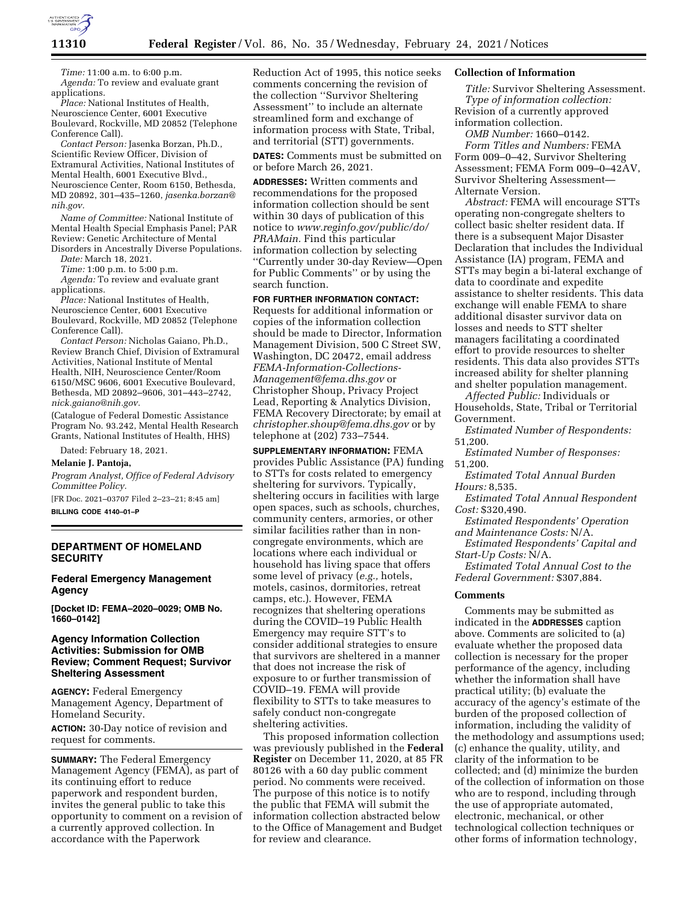

*Time:* 11:00 a.m. to 6:00 p.m. *Agenda:* To review and evaluate grant applications.

*Place:* National Institutes of Health, Neuroscience Center, 6001 Executive Boulevard, Rockville, MD 20852 (Telephone Conference Call).

*Contact Person:* Jasenka Borzan, Ph.D., Scientific Review Officer, Division of Extramural Activities, National Institutes of Mental Health, 6001 Executive Blvd., Neuroscience Center, Room 6150, Bethesda, MD 20892, 301–435–1260, *[jasenka.borzan@](mailto:jasenka.borzan@nih.gov) [nih.gov.](mailto:jasenka.borzan@nih.gov)* 

*Name of Committee:* National Institute of Mental Health Special Emphasis Panel; PAR Review: Genetic Architecture of Mental Disorders in Ancestrally Diverse Populations.

*Date:* March 18, 2021.

*Time:* 1:00 p.m. to 5:00 p.m.

*Agenda:* To review and evaluate grant applications.

*Place:* National Institutes of Health, Neuroscience Center, 6001 Executive Boulevard, Rockville, MD 20852 (Telephone Conference Call).

*Contact Person:* Nicholas Gaiano, Ph.D., Review Branch Chief, Division of Extramural Activities, National Institute of Mental Health, NIH, Neuroscience Center/Room 6150/MSC 9606, 6001 Executive Boulevard, Bethesda, MD 20892–9606, 301–443–2742, *[nick.gaiano@nih.gov.](mailto:nick.gaiano@nih.gov)* 

(Catalogue of Federal Domestic Assistance Program No. 93.242, Mental Health Research Grants, National Institutes of Health, HHS)

Dated: February 18, 2021.

**Melanie J. Pantoja,** 

*Program Analyst, Office of Federal Advisory Committee Policy.* 

[FR Doc. 2021–03707 Filed 2–23–21; 8:45 am] **BILLING CODE 4140–01–P** 

## **DEPARTMENT OF HOMELAND SECURITY**

## **Federal Emergency Management Agency**

**[Docket ID: FEMA–2020–0029; OMB No. 1660–0142]** 

## **Agency Information Collection Activities: Submission for OMB Review; Comment Request; Survivor Sheltering Assessment**

**AGENCY:** Federal Emergency Management Agency, Department of Homeland Security.

**ACTION:** 30-Day notice of revision and request for comments.

**SUMMARY:** The Federal Emergency Management Agency (FEMA), as part of its continuing effort to reduce paperwork and respondent burden, invites the general public to take this opportunity to comment on a revision of a currently approved collection. In accordance with the Paperwork

Reduction Act of 1995, this notice seeks comments concerning the revision of the collection ''Survivor Sheltering Assessment'' to include an alternate streamlined form and exchange of information process with State, Tribal, and territorial (STT) governments.

**DATES:** Comments must be submitted on or before March 26, 2021.

**ADDRESSES:** Written comments and recommendations for the proposed information collection should be sent within 30 days of publication of this notice to *[www.reginfo.gov/public/do/](http://www.reginfo.gov/public/do/PRAMain) [PRAMain.](http://www.reginfo.gov/public/do/PRAMain)* Find this particular information collection by selecting ''Currently under 30-day Review—Open for Public Comments'' or by using the search function.

**FOR FURTHER INFORMATION CONTACT:**  Requests for additional information or copies of the information collection should be made to Director, Information Management Division, 500 C Street SW, Washington, DC 20472, email address *[FEMA-Information-Collections-](mailto:FEMA-Information-Collections-Management@fema.dhs.gov)[Management@fema.dhs.gov](mailto:FEMA-Information-Collections-Management@fema.dhs.gov)* or Christopher Shoup, Privacy Project Lead, Reporting & Analytics Division, FEMA Recovery Directorate; by email at *[christopher.shoup@fema.dhs.gov](mailto:christopher.shoup@fema.dhs.gov)* or by telephone at (202) 733–7544.

**SUPPLEMENTARY INFORMATION:** FEMA provides Public Assistance (PA) funding to STTs for costs related to emergency sheltering for survivors. Typically, sheltering occurs in facilities with large open spaces, such as schools, churches, community centers, armories, or other similar facilities rather than in noncongregate environments, which are locations where each individual or household has living space that offers some level of privacy (*e.g.,* hotels, motels, casinos, dormitories, retreat camps, etc.). However, FEMA recognizes that sheltering operations during the COVID–19 Public Health Emergency may require STT's to consider additional strategies to ensure that survivors are sheltered in a manner that does not increase the risk of exposure to or further transmission of COVID–19. FEMA will provide flexibility to STTs to take measures to safely conduct non-congregate sheltering activities.

This proposed information collection was previously published in the **Federal Register** on December 11, 2020, at 85 FR 80126 with a 60 day public comment period. No comments were received. The purpose of this notice is to notify the public that FEMA will submit the information collection abstracted below to the Office of Management and Budget for review and clearance.

#### **Collection of Information**

*Title:* Survivor Sheltering Assessment. *Type of information collection:*  Revision of a currently approved

information collection.

*OMB Number:* 1660–0142. *Form Titles and Numbers:* FEMA Form 009–0–42, Survivor Sheltering Assessment; FEMA Form 009–0–42AV, Survivor Sheltering Assessment— Alternate Version.

*Abstract:* FEMA will encourage STTs operating non-congregate shelters to collect basic shelter resident data. If there is a subsequent Major Disaster Declaration that includes the Individual Assistance (IA) program, FEMA and STTs may begin a bi-lateral exchange of data to coordinate and expedite assistance to shelter residents. This data exchange will enable FEMA to share additional disaster survivor data on losses and needs to STT shelter managers facilitating a coordinated effort to provide resources to shelter residents. This data also provides STTs increased ability for shelter planning and shelter population management.

*Affected Public:* Individuals or Households, State, Tribal or Territorial Government.

*Estimated Number of Respondents:*  51,200.

*Estimated Number of Responses:*  51,200.

*Estimated Total Annual Burden Hours:* 8,535.

*Estimated Total Annual Respondent Cost:* \$320,490.

*Estimated Respondents' Operation and Maintenance Costs:* N/A.

*Estimated Respondents' Capital and Start-Up Costs:* N/A.

*Estimated Total Annual Cost to the Federal Government:* \$307,884.

## **Comments**

Comments may be submitted as indicated in the **ADDRESSES** caption above. Comments are solicited to (a) evaluate whether the proposed data collection is necessary for the proper performance of the agency, including whether the information shall have practical utility; (b) evaluate the accuracy of the agency's estimate of the burden of the proposed collection of information, including the validity of the methodology and assumptions used; (c) enhance the quality, utility, and clarity of the information to be collected; and (d) minimize the burden of the collection of information on those who are to respond, including through the use of appropriate automated, electronic, mechanical, or other technological collection techniques or other forms of information technology,